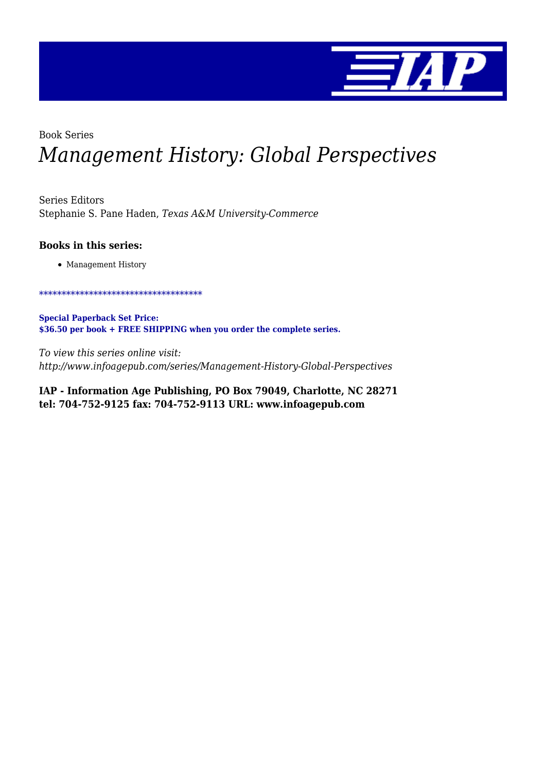

### Book Series

# *Management History: Global Perspectives*

Series Editors Stephanie S. Pane Haden, *Texas A&M University-Commerce*

#### **Books in this series:**

• Management History

\*\*\*\*\*\*\*\*\*\*\*\*\*\*\*\*\*\*\*\*\*\*\*\*\*\*\*\*\*\*\*\*\*\*\*\*

**Special Paperback Set Price: \$36.50 per book + FREE SHIPPING when you order the complete series.**

*To view this series online visit: http://www.infoagepub.com/series/Management-History-Global-Perspectives*

**IAP - Information Age Publishing, PO Box 79049, Charlotte, NC 28271 tel: 704-752-9125 fax: 704-752-9113 URL: www.infoagepub.com**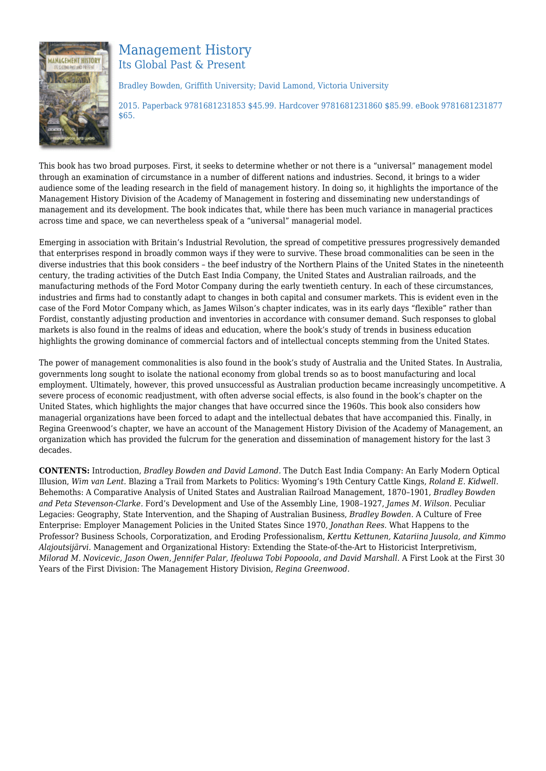

## Management History Its Global Past & Present

Bradley Bowden, Griffith University; David Lamond, Victoria University

2015. Paperback 9781681231853 \$45.99. Hardcover 9781681231860 \$85.99. eBook 9781681231877 \$65.

This book has two broad purposes. First, it seeks to determine whether or not there is a "universal" management model through an examination of circumstance in a number of different nations and industries. Second, it brings to a wider audience some of the leading research in the field of management history. In doing so, it highlights the importance of the Management History Division of the Academy of Management in fostering and disseminating new understandings of management and its development. The book indicates that, while there has been much variance in managerial practices across time and space, we can nevertheless speak of a "universal" managerial model.

Emerging in association with Britain's Industrial Revolution, the spread of competitive pressures progressively demanded that enterprises respond in broadly common ways if they were to survive. These broad commonalities can be seen in the diverse industries that this book considers – the beef industry of the Northern Plains of the United States in the nineteenth century, the trading activities of the Dutch East India Company, the United States and Australian railroads, and the manufacturing methods of the Ford Motor Company during the early twentieth century. In each of these circumstances, industries and firms had to constantly adapt to changes in both capital and consumer markets. This is evident even in the case of the Ford Motor Company which, as James Wilson's chapter indicates, was in its early days "flexible" rather than Fordist, constantly adjusting production and inventories in accordance with consumer demand. Such responses to global markets is also found in the realms of ideas and education, where the book's study of trends in business education highlights the growing dominance of commercial factors and of intellectual concepts stemming from the United States.

The power of management commonalities is also found in the book's study of Australia and the United States. In Australia, governments long sought to isolate the national economy from global trends so as to boost manufacturing and local employment. Ultimately, however, this proved unsuccessful as Australian production became increasingly uncompetitive. A severe process of economic readjustment, with often adverse social effects, is also found in the book's chapter on the United States, which highlights the major changes that have occurred since the 1960s. This book also considers how managerial organizations have been forced to adapt and the intellectual debates that have accompanied this. Finally, in Regina Greenwood's chapter, we have an account of the Management History Division of the Academy of Management, an organization which has provided the fulcrum for the generation and dissemination of management history for the last 3 decades.

**CONTENTS:** Introduction, *Bradley Bowden and David Lamond.* The Dutch East India Company: An Early Modern Optical Illusion, *Wim van Lent.* Blazing a Trail from Markets to Politics: Wyoming's 19th Century Cattle Kings, *Roland E. Kidwell.* Behemoths: A Comparative Analysis of United States and Australian Railroad Management, 1870–1901, *Bradley Bowden and Peta Stevenson‐Clarke.* Ford's Development and Use of the Assembly Line, 1908–1927, *James M. Wilson.* Peculiar Legacies: Geography, State Intervention, and the Shaping of Australian Business, *Bradley Bowden.* A Culture of Free Enterprise: Employer Management Policies in the United States Since 1970, *Jonathan Rees.* What Happens to the Professor? Business Schools, Corporatization, and Eroding Professionalism, *Kerttu Kettunen, Katariina Juusola, and Kimmo Alajoutsijärvi.* Management and Organizational History: Extending the State‐of‐the‐Art to Historicist Interpretivism, *Milorad M. Novicevic, Jason Owen, Jennifer Palar, Ifeoluwa Tobi Popooola, and David Marshall.* A First Look at the First 30 Years of the First Division: The Management History Division, *Regina Greenwood.*